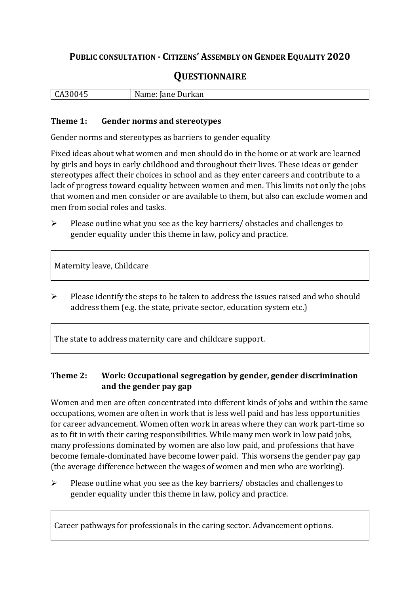## **PUBLIC CONSULTATION - CITIZENS' ASSEMBLY ON GENDER EQUALITY 2020**

# **QUESTIONNAIRE**

| חר.<br>14<br>ື | <b>Durkan</b><br>$ -$<br>N<br>ғане<br>wallie. |
|----------------|-----------------------------------------------|
|                |                                               |

#### **Theme 1: Gender norms and stereotypes**

Gender norms and stereotypes as barriers to gender equality

Fixed ideas about what women and men should do in the home or at work are learned by girls and boys in early childhood and throughout their lives. These ideas or gender stereotypes affect their choices in school and as they enter careers and contribute to a lack of progress toward equality between women and men. This limits not only the jobs that women and men consider or are available to them, but also can exclude women and men from social roles and tasks.

➢ Please outline what you see as the key barriers/ obstacles and challenges to gender equality under this theme in law, policy and practice.

Maternity leave, Childcare

➢ Please identify the steps to be taken to address the issues raised and who should address them (e.g. the state, private sector, education system etc.)

The state to address maternity care and childcare support.

### **Theme 2: Work: Occupational segregation by gender, gender discrimination and the gender pay gap**

Women and men are often concentrated into different kinds of jobs and within the same occupations, women are often in work that is less well paid and has less opportunities for career advancement. Women often work in areas where they can work part-time so as to fit in with their caring responsibilities. While many men work in low paid jobs, many professions dominated by women are also low paid, and professions that have become female-dominated have become lower paid. This worsens the gender pay gap (the average difference between the wages of women and men who are working).

➢ Please outline what you see as the key barriers/ obstacles and challenges to gender equality under this theme in law, policy and practice.

Career pathways for professionals in the caring sector. Advancement options.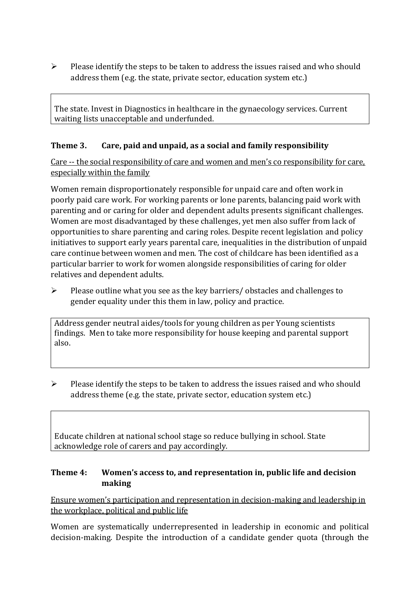➢ Please identify the steps to be taken to address the issues raised and who should address them (e.g. the state, private sector, education system etc.)

The state. Invest in Diagnostics in healthcare in the gynaecology services. Current waiting lists unacceptable and underfunded.

### **Theme 3. Care, paid and unpaid, as a social and family responsibility**

Care -- the social responsibility of care and women and men's co responsibility for care, especially within the family

Women remain disproportionately responsible for unpaid care and often work in poorly paid care work. For working parents or [lone parents,](https://aran.library.nuigalway.ie/bitstream/handle/10379/6044/Millar_and_Crosse_Activation_Report.pdf?sequence=1&isAllowed=y) balancing paid work with parenting and or caring for older and dependent adults presents significant challenges. Women are [most disadvantaged by these challenges,](https://eige.europa.eu/gender-equality-index/game/IE/W) yet men also suffer from lack of opportunities to share parenting and caring roles. Despite recent legislation and policy initiatives to support early years parental care, [inequalities in the distribution of unpaid](https://www.ihrec.ie/app/uploads/2019/07/Caring-and-Unpaid-Work-in-Ireland_Final.pdf)  [care](https://www.ihrec.ie/app/uploads/2019/07/Caring-and-Unpaid-Work-in-Ireland_Final.pdf) continue between women and men. The cost of childcare has been identified as a particular barrier to work for women alongside responsibilities of caring for older relatives and dependent adults.

➢ Please outline what you see as the key barriers/ obstacles and challenges to gender equality under this them in law, policy and practice.

Address gender neutral aides/tools for young children as per Young scientists findings. Men to take more responsibility for house keeping and parental support also.

 $\triangleright$  Please identify the steps to be taken to address the issues raised and who should address theme (e.g. the state, private sector, education system etc.)

Educate children at national school stage so reduce bullying in school. State acknowledge role of carers and pay accordingly.

### **Theme 4: Women's access to, and representation in, public life and decision making**

Ensure women's participation and representation in decision-making and leadership in the workplace, political and public life

Women are systematically underrepresented in leadership in [economic](https://eige.europa.eu/gender-equality-index/2019/compare-countries/power/2/bar) and [political](https://eige.europa.eu/gender-equality-index/2019/compare-countries/power/1/bar)  [decision-](https://eige.europa.eu/gender-equality-index/2019/compare-countries/power/1/bar)making. Despite the introduction of a candidate gender quota (through the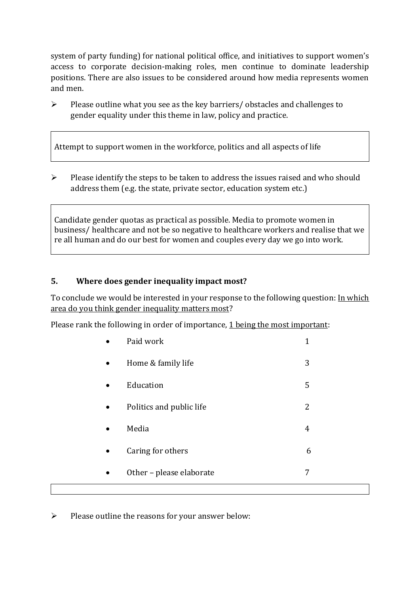system of party funding) for national political office, and [initiatives](https://betterbalance.ie/) to support women's access to corporate decision-making roles, men continue to dominate leadership positions. There are also issues to be considered around how media represents women and men.

➢ Please outline what you see as the key barriers/ obstacles and challenges to gender equality under this theme in law, policy and practice.

Attempt to support women in the workforce, politics and all aspects of life

➢ Please identify the steps to be taken to address the issues raised and who should address them (e.g. the state, private sector, education system etc.)

Candidate gender quotas as practical as possible. Media to promote women in business/ healthcare and not be so negative to healthcare workers and realise that we re all human and do our best for women and couples every day we go into work.

### **5. Where does gender inequality impact most?**

To conclude we would be interested in your response to the following question: In which area do you think gender inequality matters most?

Please rank the following in order of importance, 1 being the most important:

|           | Paid work                | 1 |
|-----------|--------------------------|---|
| $\bullet$ | Home & family life       | 3 |
| $\bullet$ | Education                | 5 |
| $\bullet$ | Politics and public life | 2 |
| $\bullet$ | Media                    | 4 |
|           | Caring for others        | 6 |
|           | Other - please elaborate | 7 |
|           |                          |   |

➢ Please outline the reasons for your answer below: